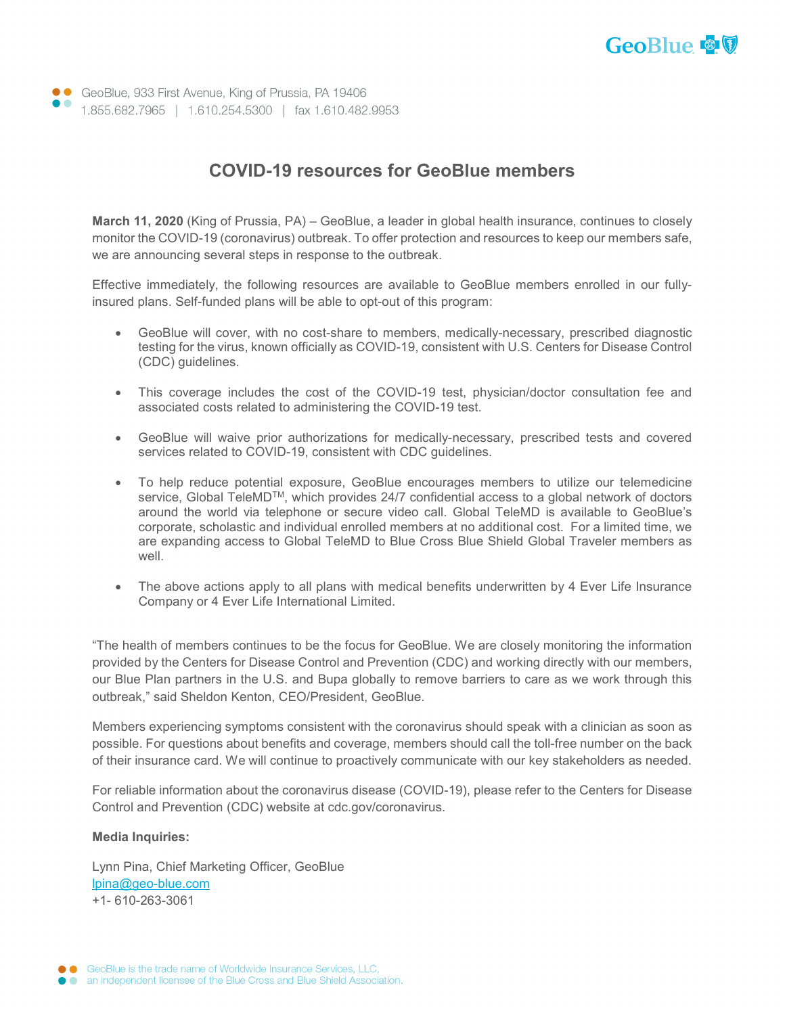

• GeoBlue, 933 First Avenue, King of Prussia, PA 19406 1.855.682.7965 | 1.610.254.5300 | fax 1.610.482.9953

## **COVID-19 resources for GeoBlue members**

**March 11, 2020** (King of Prussia, PA) – GeoBlue, a leader in global health insurance, continues to closely monitor the COVID-19 (coronavirus) outbreak. To offer protection and resources to keep our members safe, we are announcing several steps in response to the outbreak.

Effective immediately, the following resources are available to GeoBlue members enrolled in our fullyinsured plans. Self-funded plans will be able to opt-out of this program:

- GeoBlue will cover, with no cost-share to members, medically-necessary, prescribed diagnostic testing for the virus, known officially as COVID-19, consistent with U.S. Centers for Disease Control (CDC) guidelines.
- This coverage includes the cost of the COVID-19 test, physician/doctor consultation fee and associated costs related to administering the COVID-19 test.
- GeoBlue will waive prior authorizations for medically-necessary, prescribed tests and covered services related to COVID-19, consistent with CDC guidelines.
- To help reduce potential exposure, GeoBlue encourages members to utilize our telemedicine service, Global TeleMD<sup>™</sup>, which provides 24/7 confidential access to a global network of doctors around the world via telephone or secure video call. Global TeleMD is available to GeoBlue's corporate, scholastic and individual enrolled members at no additional cost. For a limited time, we are expanding access to Global TeleMD to Blue Cross Blue Shield Global Traveler members as well.
- The above actions apply to all plans with medical benefits underwritten by 4 Ever Life Insurance Company or 4 Ever Life International Limited.

"The health of members continues to be the focus for GeoBlue. We are closely monitoring the information provided by the Centers for Disease Control and Prevention (CDC) and working directly with our members, our Blue Plan partners in the U.S. and Bupa globally to remove barriers to care as we work through this outbreak," said Sheldon Kenton, CEO/President, GeoBlue.

Members experiencing symptoms consistent with the coronavirus should speak with a clinician as soon as possible. For questions about benefits and coverage, members should call the toll-free number on the back of their insurance card. We will continue to proactively communicate with our key stakeholders as needed.

For reliable information about the coronavirus disease (COVID-19), please refer to the Centers for Disease Control and Prevention (CDC) website at cdc.gov/coronavirus.

## **Media Inquiries:**

Lynn Pina, Chief Marketing Officer, GeoBlue [lpina@geo-blue.com](mailto:lpina@geo-blue.com) +1- 610-263-3061